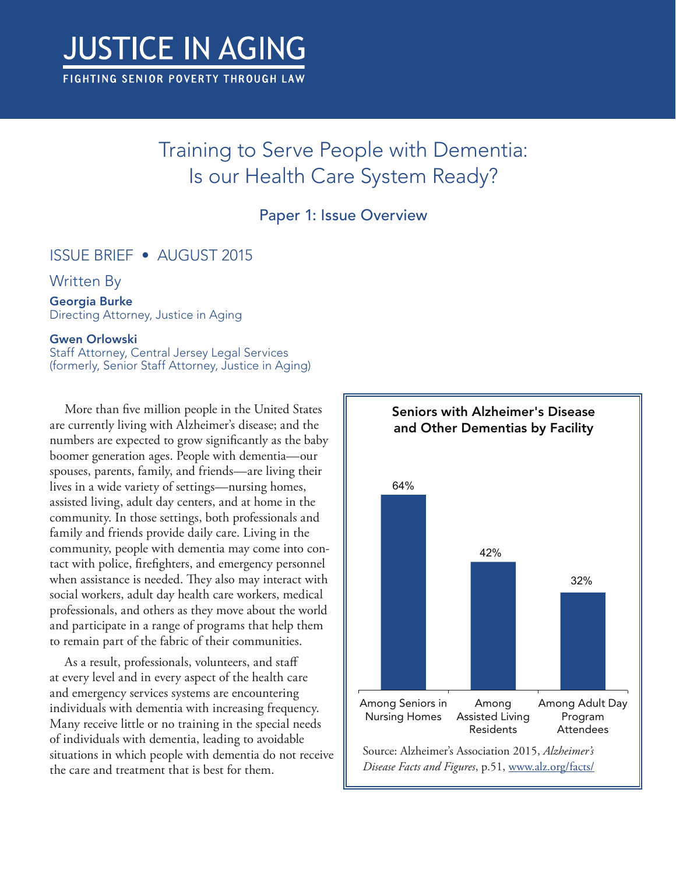# **JUSTICE IN AGING**

FIGHTING SENIOR POVERTY THROUGH LAW

# Training to Serve People with Dementia: Is our Health Care System Ready?

## Paper 1: Issue Overview

## ISSUE BRIEF • AUGUST 2015

### Written By

#### Georgia Burke

Directing Attorney, Justice in Aging

#### Gwen Orlowski

Staff Attorney, Central Jersey Legal Services (formerly, Senior Staff Attorney, Justice in Aging)

More than five million people in the United States are currently living with Alzheimer's disease; and the numbers are expected to grow significantly as the baby boomer generation ages. People with dementia—our spouses, parents, family, and friends—are living their lives in a wide variety of settings—nursing homes, assisted living, adult day centers, and at home in the community. In those settings, both professionals and family and friends provide daily care. Living in the community, people with dementia may come into contact with police, firefighters, and emergency personnel when assistance is needed. They also may interact with social workers, adult day health care workers, medical professionals, and others as they move about the world and participate in a range of programs that help them to remain part of the fabric of their communities.

As a result, professionals, volunteers, and staff at every level and in every aspect of the health care and emergency services systems are encountering individuals with dementia with increasing frequency. Many receive little or no training in the special needs of individuals with dementia, leading to avoidable situations in which people with dementia do not receive the care and treatment that is best for them.

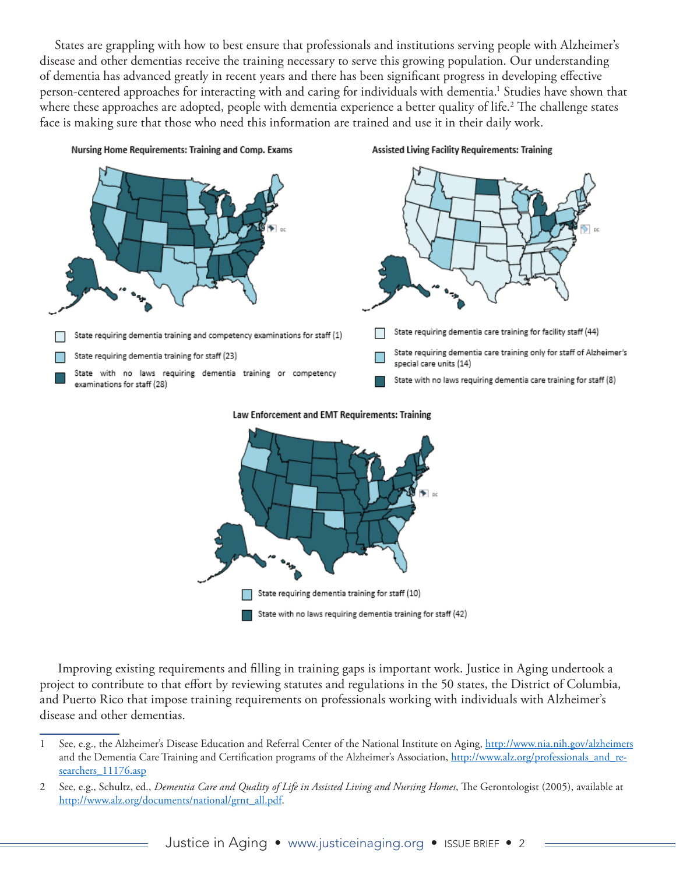States are grappling with how to best ensure that professionals and institutions serving people with Alzheimer's disease and other dementias receive the training necessary to serve this growing population. Our understanding of dementia has advanced greatly in recent years and there has been significant progress in developing effective person-centered approaches for interacting with and caring for individuals with dementia.1 Studies have shown that where these approaches are adopted, people with dementia experience a better quality of life.<sup>2</sup> The challenge states face is making sure that those who need this information are trained and use it in their daily work.





#### Law Enforcement and EMT Requirements: Training

 Improving existing requirements and filling in training gaps is important work. Justice in Aging undertook a project to contribute to that effort by reviewing statutes and regulations in the 50 states, the District of Columbia, and Puerto Rico that impose training requirements on professionals working with individuals with Alzheimer's disease and other dementias.

<sup>1</sup> See, e.g., the Alzheimer's Disease Education and Referral Center of the National Institute on Aging, [http://www.nia.nih.g](http://www.nia.nih.gov/alzheimers)ov/alzheimers and the Dementia Care Training and Certification programs of the Alzheimer's Association, [http://www.alz.org/professionals\\_and\\_re](http://www.alz.org/professionals_and_researchers_11176.asp)[searchers\\_11176.asp](http://www.alz.org/professionals_and_researchers_11176.asp)

<sup>2</sup> See, e.g., Schultz, ed., *Dementia Care and Quality of Life in Assisted Living and Nursing Homes*, The Gerontologist (2005), available at [http://www.alz.org/documents/national/grnt\\_all.pdf](http://www.alz.org/documents/national/grnt_all.pdf).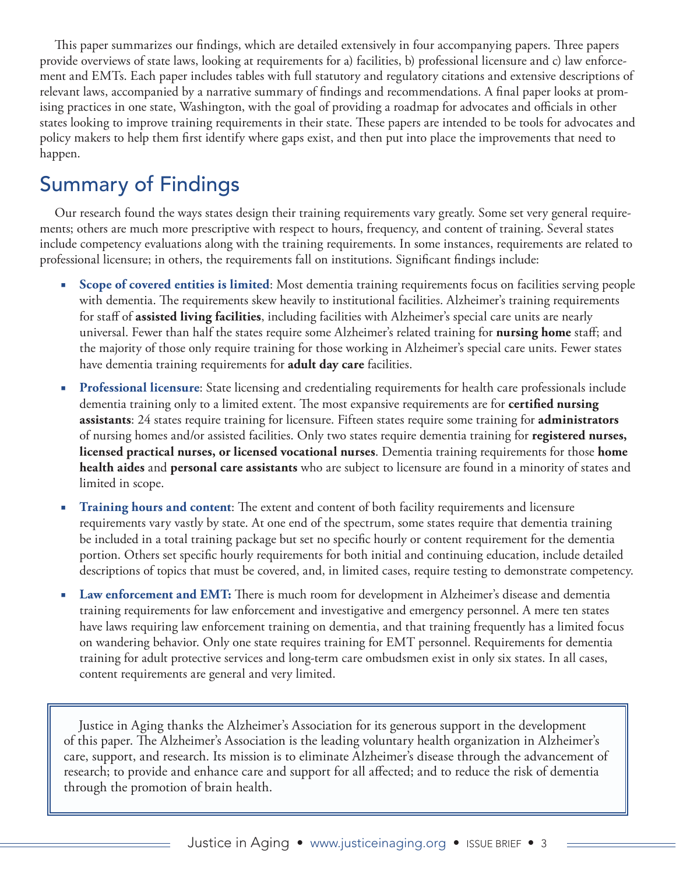This paper summarizes our findings, which are detailed extensively in four accompanying papers. Three papers provide overviews of state laws, looking at requirements for a) facilities, b) professional licensure and c) law enforcement and EMTs. Each paper includes tables with full statutory and regulatory citations and extensive descriptions of relevant laws, accompanied by a narrative summary of findings and recommendations. A final paper looks at promising practices in one state, Washington, with the goal of providing a roadmap for advocates and officials in other states looking to improve training requirements in their state. These papers are intended to be tools for advocates and policy makers to help them first identify where gaps exist, and then put into place the improvements that need to happen.

## Summary of Findings

Our research found the ways states design their training requirements vary greatly. Some set very general requirements; others are much more prescriptive with respect to hours, frequency, and content of training. Several states include competency evaluations along with the training requirements. In some instances, requirements are related to professional licensure; in others, the requirements fall on institutions. Significant findings include:

- **Scope of covered entities is limited:** Most dementia training requirements focus on facilities serving people with dementia. The requirements skew heavily to institutional facilities. Alzheimer's training requirements for staff of **assisted living facilities**, including facilities with Alzheimer's special care units are nearly universal. Fewer than half the states require some Alzheimer's related training for **nursing home** staff; and the majority of those only require training for those working in Alzheimer's special care units. Fewer states have dementia training requirements for **adult day care** facilities.
- **Professional licensure**: State licensing and credentialing requirements for health care professionals include dementia training only to a limited extent. The most expansive requirements are for **certified nursing assistants**: 24 states require training for licensure. Fifteen states require some training for **administrators** of nursing homes and/or assisted facilities. Only two states require dementia training for **registered nurses, licensed practical nurses, or licensed vocational nurses**. Dementia training requirements for those **home health aides** and **personal care assistants** who are subject to licensure are found in a minority of states and limited in scope.
- **Training hours and content:** The extent and content of both facility requirements and licensure requirements vary vastly by state. At one end of the spectrum, some states require that dementia training be included in a total training package but set no specific hourly or content requirement for the dementia portion. Others set specific hourly requirements for both initial and continuing education, include detailed descriptions of topics that must be covered, and, in limited cases, require testing to demonstrate competency.
- Law enforcement and EMT: There is much room for development in Alzheimer's disease and dementia training requirements for law enforcement and investigative and emergency personnel. A mere ten states have laws requiring law enforcement training on dementia, and that training frequently has a limited focus on wandering behavior. Only one state requires training for EMT personnel. Requirements for dementia training for adult protective services and long-term care ombudsmen exist in only six states. In all cases, content requirements are general and very limited.

Justice in Aging thanks the Alzheimer's Association for its generous support in the development of this paper. The Alzheimer's Association is the leading voluntary health organization in Alzheimer's care, support, and research. Its mission is to eliminate Alzheimer's disease through the advancement of research; to provide and enhance care and support for all affected; and to reduce the risk of dementia through the promotion of brain health.